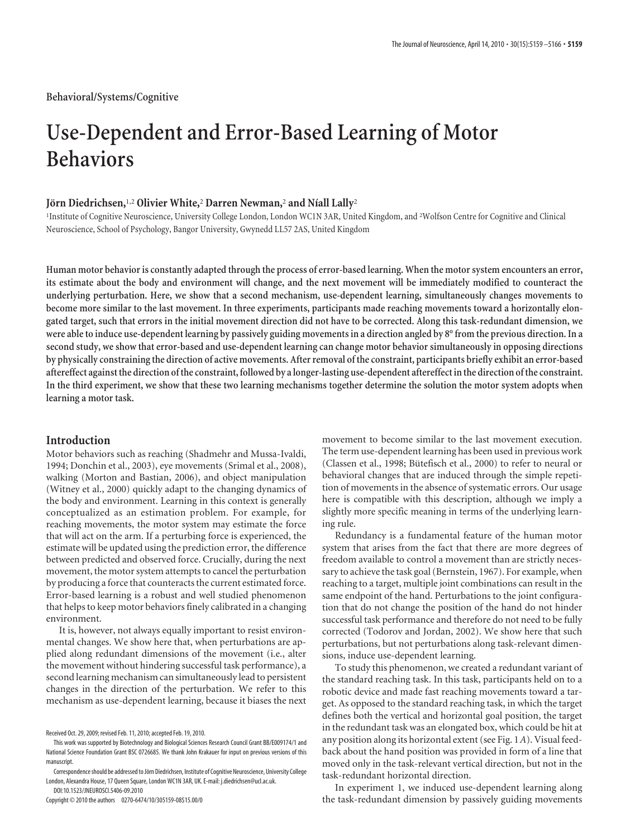**Behavioral/Systems/Cognitive**

# **Use-Dependent and Error-Based Learning of Motor Behaviors**

# **Jo¨rn Diedrichsen,**1,2 **Olivier White,**<sup>2</sup> **Darren Newman,**<sup>2</sup> **and Níall Lally**<sup>2</sup>

<sup>1</sup>Institute of Cognitive Neuroscience, University College London, London WC1N 3AR, United Kingdom, and <sup>2</sup>Wolfson Centre for Cognitive and Clinical Neuroscience, School of Psychology, Bangor University, Gwynedd LL57 2AS, United Kingdom

**Human motor behavior is constantly adapted through the process of error-based learning. When the motor system encounters an error, its estimate about the body and environment will change, and the next movement will be immediately modified to counteract the underlying perturbation. Here, we show that a second mechanism, use-dependent learning, simultaneously changes movements to become more similar to the last movement. In three experiments, participants made reaching movements toward a horizontally elongated target, such that errors in the initial movement direction did not have to be corrected. Along this task-redundant dimension, we were able to induce use-dependent learning by passively guiding movements in a direction angled by 8° from the previous direction. In a second study, we show that error-based and use-dependent learning can change motor behavior simultaneously in opposing directions by physically constraining the direction of active movements. After removal of the constraint, participants briefly exhibit an error-based aftereffect againstthe direction ofthe constraint, followed by a longer-lasting use-dependent aftereffect inthe direction ofthe constraint. In the third experiment, we show that these two learning mechanisms together determine the solution the motor system adopts when learning a motor task.**

## **Introduction**

Motor behaviors such as reaching (Shadmehr and Mussa-Ivaldi, 1994; Donchin et al., 2003), eye movements (Srimal et al., 2008), walking (Morton and Bastian, 2006), and object manipulation (Witney et al., 2000) quickly adapt to the changing dynamics of the body and environment. Learning in this context is generally conceptualized as an estimation problem. For example, for reaching movements, the motor system may estimate the force that will act on the arm. If a perturbing force is experienced, the estimate will be updated using the prediction error, the difference between predicted and observed force. Crucially, during the next movement, the motor system attempts to cancel the perturbation by producing a force that counteracts the current estimated force. Error-based learning is a robust and well studied phenomenon that helps to keep motor behaviors finely calibrated in a changing environment.

It is, however, not always equally important to resist environmental changes. We show here that, when perturbations are applied along redundant dimensions of the movement (i.e., alter the movement without hindering successful task performance), a second learning mechanism can simultaneously lead to persistent changes in the direction of the perturbation. We refer to this mechanism as use-dependent learning, because it biases the next

Copyright © 2010 the authors 0270-6474/10/305159-08\$15.00/0

movement to become similar to the last movement execution. The term use-dependent learning has been used in previous work (Classen et al., 1998; Bütefisch et al., 2000) to refer to neural or behavioral changes that are induced through the simple repetition of movements in the absence of systematic errors. Our usage here is compatible with this description, although we imply a slightly more specific meaning in terms of the underlying learning rule.

Redundancy is a fundamental feature of the human motor system that arises from the fact that there are more degrees of freedom available to control a movement than are strictly necessary to achieve the task goal (Bernstein, 1967). For example, when reaching to a target, multiple joint combinations can result in the same endpoint of the hand. Perturbations to the joint configuration that do not change the position of the hand do not hinder successful task performance and therefore do not need to be fully corrected (Todorov and Jordan, 2002). We show here that such perturbations, but not perturbations along task-relevant dimensions, induce use-dependent learning.

To study this phenomenon, we created a redundant variant of the standard reaching task. In this task, participants held on to a robotic device and made fast reaching movements toward a target. As opposed to the standard reaching task, in which the target defines both the vertical and horizontal goal position, the target in the redundant task was an elongated box, which could be hit at any position along its horizontal extent (see Fig. 1*A*). Visual feedback about the hand position was provided in form of a line that moved only in the task-relevant vertical direction, but not in the task-redundant horizontal direction.

In experiment 1, we induced use-dependent learning along the task-redundant dimension by passively guiding movements

Received Oct. 29, 2009; revised Feb. 11, 2010; accepted Feb. 19, 2010.

This work was supported by Biotechnology and Biological Sciences Research Council Grant BB/E009174/1 and National Science Foundation Grant BSC 0726685. We thank John Krakauer for input on previous versions of this manuscript.

Correspondence should be addressed to Jörn Diedrichsen, Institute of Cognitive Neuroscience, University College London, Alexandra House, 17 Queen Square, London WC1N 3AR, UK. E-mail: j.diedrichsen@ucl.ac.uk. DOI:10.1523/JNEUROSCI.5406-09.2010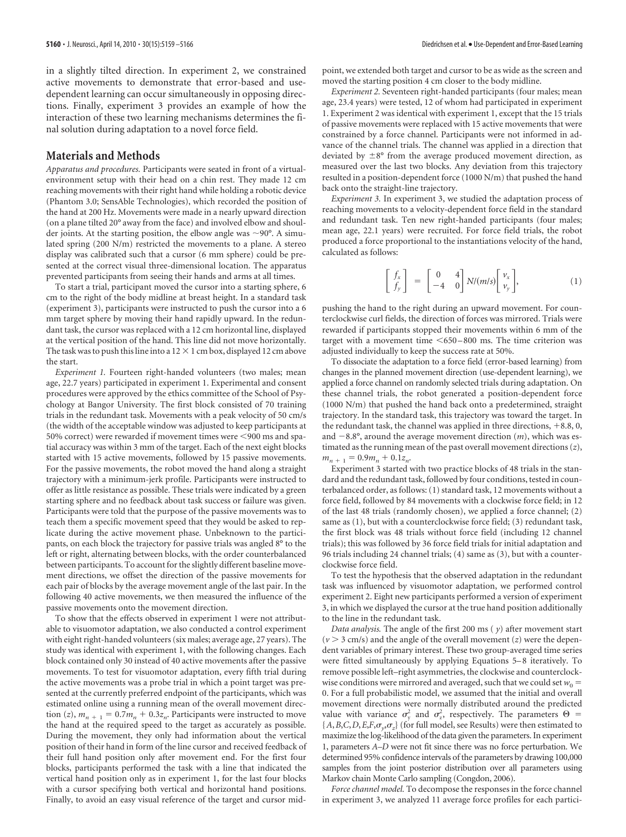in a slightly tilted direction. In experiment 2, we constrained active movements to demonstrate that error-based and usedependent learning can occur simultaneously in opposing directions. Finally, experiment 3 provides an example of how the interaction of these two learning mechanisms determines the final solution during adaptation to a novel force field.

## **Materials and Methods**

*Apparatus and procedures.* Participants were seated in front of a virtualenvironment setup with their head on a chin rest. They made 12 cm reaching movements with their right hand while holding a robotic device (Phantom 3.0; SensAble Technologies), which recorded the position of the hand at 200 Hz. Movements were made in a nearly upward direction (on a plane tilted 20° away from the face) and involved elbow and shoulder joints. At the starting position, the elbow angle was  $\sim$ 90°. A simulated spring (200 N/m) restricted the movements to a plane. A stereo display was calibrated such that a cursor (6 mm sphere) could be presented at the correct visual three-dimensional location. The apparatus prevented participants from seeing their hands and arms at all times.

To start a trial, participant moved the cursor into a starting sphere, 6 cm to the right of the body midline at breast height. In a standard task (experiment 3), participants were instructed to push the cursor into a 6 mm target sphere by moving their hand rapidly upward. In the redundant task, the cursor was replaced with a 12 cm horizontal line, displayed at the vertical position of the hand. This line did not move horizontally. The task was to push this line into a 12  $\times$  1 cm box, displayed 12 cm above the start.

*Experiment 1.* Fourteen right-handed volunteers (two males; mean age, 22.7 years) participated in experiment 1. Experimental and consent procedures were approved by the ethics committee of the School of Psychology at Bangor University. The first block consisted of 70 training trials in the redundant task. Movements with a peak velocity of 50 cm/s (the width of the acceptable window was adjusted to keep participants at 50% correct) were rewarded if movement times were <900 ms and spatial accuracy was within 3 mm of the target. Each of the next eight blocks started with 15 active movements, followed by 15 passive movements. For the passive movements, the robot moved the hand along a straight trajectory with a minimum-jerk profile. Participants were instructed to offer as little resistance as possible. These trials were indicated by a green starting sphere and no feedback about task success or failure was given. Participants were told that the purpose of the passive movements was to teach them a specific movement speed that they would be asked to replicate during the active movement phase. Unbeknown to the participants, on each block the trajectory for passive trials was angled 8° to the left or right, alternating between blocks, with the order counterbalanced between participants. To account for the slightly different baseline movement directions, we offset the direction of the passive movements for each pair of blocks by the average movement angle of the last pair. In the following 40 active movements, we then measured the influence of the passive movements onto the movement direction.

To show that the effects observed in experiment 1 were not attributable to visuomotor adaptation, we also conducted a control experiment with eight right-handed volunteers (six males; average age, 27 years). The study was identical with experiment 1, with the following changes. Each block contained only 30 instead of 40 active movements after the passive movements. To test for visuomotor adaptation, every fifth trial during the active movements was a probe trial in which a point target was presented at the currently preferred endpoint of the participants, which was estimated online using a running mean of the overall movement direction (*z*),  $m_{n+1} = 0.7m_n + 0.3z_n$ . Participants were instructed to move the hand at the required speed to the target as accurately as possible. During the movement, they only had information about the vertical position of their hand in form of the line cursor and received feedback of their full hand position only after movement end. For the first four blocks, participants performed the task with a line that indicated the vertical hand position only as in experiment 1, for the last four blocks with a cursor specifying both vertical and horizontal hand positions. Finally, to avoid an easy visual reference of the target and cursor midpoint, we extended both target and cursor to be as wide as the screen and moved the starting position 4 cm closer to the body midline.

*Experiment 2.* Seventeen right-handed participants (four males; mean age, 23.4 years) were tested, 12 of whom had participated in experiment 1. Experiment 2 was identical with experiment 1, except that the 15 trials of passive movements were replaced with 15 active movements that were constrained by a force channel. Participants were not informed in advance of the channel trials. The channel was applied in a direction that deviated by  $\pm 8^{\circ}$  from the average produced movement direction, as measured over the last two blocks. Any deviation from this trajectory resulted in a position-dependent force (1000 N/m) that pushed the hand back onto the straight-line trajectory.

*Experiment 3.* In experiment 3, we studied the adaptation process of reaching movements to a velocity-dependent force field in the standard and redundant task. Ten new right-handed participants (four males; mean age, 22.1 years) were recruited. For force field trials, the robot produced a force proportional to the instantiations velocity of the hand, calculated as follows:

$$
\begin{bmatrix} f_x \\ f_y \end{bmatrix} = \begin{bmatrix} 0 & 4 \\ -4 & 0 \end{bmatrix} N/(m/s) \begin{bmatrix} v_x \\ v_y \end{bmatrix}, \tag{1}
$$

pushing the hand to the right during an upward movement. For counterclockwise curl fields, the direction of forces was mirrored. Trials were rewarded if participants stopped their movements within 6 mm of the target with a movement time  $\leq 650 - 800$  ms. The time criterion was adjusted individually to keep the success rate at 50%.

To dissociate the adaptation to a force field (error-based learning) from changes in the planned movement direction (use-dependent learning), we applied a force channel on randomly selected trials during adaptation. On these channel trials, the robot generated a position-dependent force (1000 N/m) that pushed the hand back onto a predetermined, straight trajectory. In the standard task, this trajectory was toward the target. In the redundant task, the channel was applied in three directions,  $+8.8$ , 0, and  $-8.8^\circ$ , around the average movement direction  $(m)$ , which was estimated as the running mean of the past overall movement directions (*z*),  $m_{n+1} = 0.9m_n + 0.1z_n$ .

Experiment 3 started with two practice blocks of 48 trials in the standard and the redundant task, followed by four conditions, tested in counterbalanced order, as follows: (1) standard task, 12 movements without a force field, followed by 84 movements with a clockwise force field; in 12 of the last 48 trials (randomly chosen), we applied a force channel; (2) same as (1), but with a counterclockwise force field; (3) redundant task, the first block was 48 trials without force field (including 12 channel trials); this was followed by 36 force field trials for initial adaptation and 96 trials including 24 channel trials; (4) same as (3), but with a counterclockwise force field.

To test the hypothesis that the observed adaptation in the redundant task was influenced by visuomotor adaptation, we performed control experiment 2. Eight new participants performed a version of experiment 3, in which we displayed the cursor at the true hand position additionally to the line in the redundant task.

*Data analysis.* The angle of the first 200 ms ( *y*) after movement start  $(v > 3$  cm/s) and the angle of the overall movement  $(z)$  were the dependent variables of primary interest. These two group-averaged time series were fitted simultaneously by applying Equations 5– 8 iteratively. To remove possible left–right asymmetries, the clockwise and counterclockwise conditions were mirrored and averaged, such that we could set  $w_0 =$ 0. For a full probabilistic model, we assumed that the initial and overall movement directions were normally distributed around the predicted value with variance  $\sigma_y^2$  and  $\sigma_z^2$ , respectively. The parameters  $\Theta =$  ${A,B,C,D,E}$ , $F,\sigma_{\gamma}$ , $\sigma_{z}$ } (for full model, see Results) were then estimated to maximize the log-likelihood of the data given the parameters. In experiment 1, parameters *A–D* were not fit since there was no force perturbation. We determined 95% confidence intervals of the parameters by drawing 100,000 samples from the joint posterior distribution over all parameters using Markov chain Monte Carlo sampling (Congdon, 2006).

*Force channel model.* To decompose the responses in the force channel in experiment 3, we analyzed 11 average force profiles for each partici-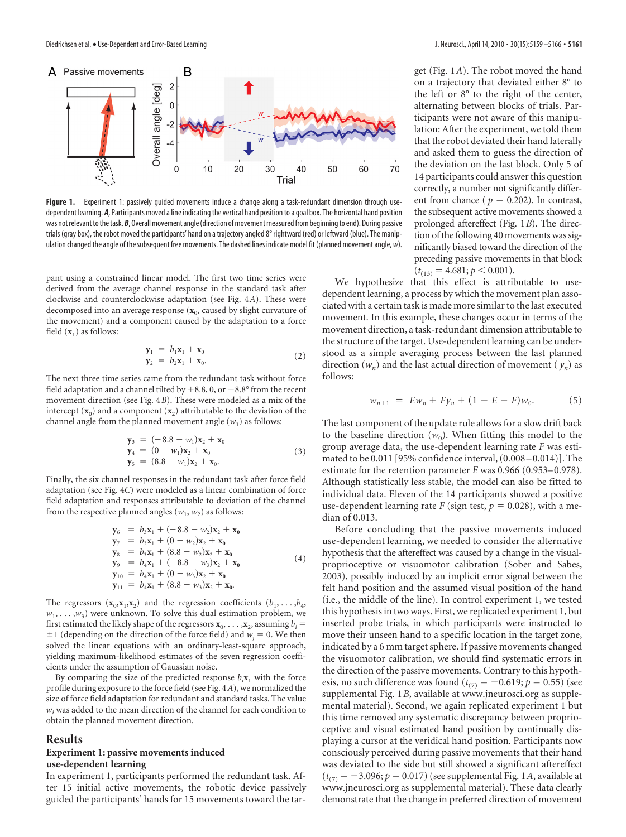

**Figure 1.** Experiment 1: passively guided movements induce a change along a task-redundant dimension through usedependent learning. *A*, Participants moved a line indicating the vertical hand position to a goal box. The horizontal hand position was not relevant to the task. B, Overall movement angle (direction of movement measured from beginning to end). During passive trials (gray box), the robot moved the participants' hand on a trajectory angled 8° rightward (red) or leftward (blue). The manipulation changed the angle of the subsequent free movements. The dashed lines indicate model fit (planned movement angle, *w*).

pant using a constrained linear model. The first two time series were derived from the average channel response in the standard task after clockwise and counterclockwise adaptation (see Fig. 4*A*). These were decomposed into an average response ( $\mathbf{x}_0$ , caused by slight curvature of the movement) and a component caused by the adaptation to a force field  $(\mathbf{x}_1)$  as follows:

$$
\begin{aligned} \mathbf{y}_1 &= b_1 \mathbf{x}_1 + \mathbf{x}_0 \\ \mathbf{y}_2 &= b_2 \mathbf{x}_1 + \mathbf{x}_0. \end{aligned} \tag{2}
$$

The next three time series came from the redundant task without force field adaptation and a channel tilted by  $+8.8$ , 0, or  $-8.8^{\circ}$  from the recent movement direction (see Fig. 4*B*). These were modeled as a mix of the intercept  $(\mathbf{x}_0)$  and a component  $(\mathbf{x}_2)$  attributable to the deviation of the channel angle from the planned movement angle  $(w_1)$  as follows:

$$
\begin{aligned}\n\mathbf{y}_3 &= (-8.8 - w_1)\mathbf{x}_2 + \mathbf{x}_0 \\
\mathbf{y}_4 &= (0 - w_1)\mathbf{x}_2 + \mathbf{x}_0 \\
\mathbf{y}_5 &= (8.8 - w_1)\mathbf{x}_2 + \mathbf{x}_0.\n\end{aligned} \tag{3}
$$

Finally, the six channel responses in the redundant task after force field adaptation (see Fig. 4*C*) were modeled as a linear combination of force field adaptation and responses attributable to deviation of the channel from the respective planned angles  $(w_1, w_2)$  as follows:

$$
\gamma_{6} = b_{3}x_{1} + (-8.8 - w_{2})x_{2} + x_{0} \n\gamma_{7} = b_{3}x_{1} + (0 - w_{2})x_{2} + x_{0} \n\gamma_{8} = b_{3}x_{1} + (8.8 - w_{2})x_{2} + x_{0} \n\gamma_{9} = b_{4}x_{1} + (-8.8 - w_{3})x_{2} + x_{0} \n\gamma_{10} = b_{4}x_{1} + (0 - w_{3})x_{2} + x_{0} \n\gamma_{11} = b_{4}x_{1} + (8.8 - w_{3})x_{2} + x_{0}.
$$
\n(4)

The regressors  $(\mathbf{x}_0, \mathbf{x}_1, \mathbf{x}_2)$  and the regression coefficients  $(b_1, \ldots, b_4)$  $w_1, \ldots, w_3$  were unknown. To solve this dual estimation problem, we first estimated the likely shape of the regressors  $\mathbf{x}_0$ , ...,  $\mathbf{x}_2$ , assuming  $b_i =$  $\pm 1$  (depending on the direction of the force field) and  $w_i = 0$ . We then solved the linear equations with an ordinary-least-square approach, yielding maximum-likelihood estimates of the seven regression coefficients under the assumption of Gaussian noise.

By comparing the size of the predicted response  $b_i\mathbf{x}_1$  with the force profile during exposure to the force field (see Fig. 4*A*), we normalized the size of force field adaptation for redundant and standard tasks. The value  $w<sub>i</sub>$  was added to the mean direction of the channel for each condition to obtain the planned movement direction.

#### **Results**

## **Experiment 1: passive movements induced use-dependent learning**

In experiment 1, participants performed the redundant task. After 15 initial active movements, the robotic device passively guided the participants' hands for 15 movements toward the target (Fig. 1*A*). The robot moved the hand on a trajectory that deviated either 8° to the left or 8° to the right of the center, alternating between blocks of trials. Participants were not aware of this manipulation: After the experiment, we told them that the robot deviated their hand laterally and asked them to guess the direction of the deviation on the last block. Only 5 of 14 participants could answer this question correctly, a number not significantly different from chance ( $p = 0.202$ ). In contrast, the subsequent active movements showed a prolonged aftereffect (Fig. 1*B*). The direction of the following 40 movements was significantly biased toward the direction of the preceding passive movements in that block  $(t_{(13)} = 4.681; p < 0.001).$ 

We hypothesize that this effect is attributable to usedependent learning, a process by which the movement plan associated with a certain task is made more similar to the last executed movement. In this example, these changes occur in terms of the movement direction, a task-redundant dimension attributable to the structure of the target. Use-dependent learning can be understood as a simple averaging process between the last planned direction  $(w_n)$  and the last actual direction of movement  $(y_n)$  as follows:

$$
w_{n+1} = Ew_n + Fy_n + (1 - E - F)w_0.
$$
 (5)

The last component of the update rule allows for a slow drift back to the baseline direction  $(w_0)$ . When fitting this model to the group average data, the use-dependent learning rate *F* was estimated to be 0.011 [95% confidence interval, (0.008 –0.014)]. The estimate for the retention parameter *E* was 0.966 (0.953–0.978). Although statistically less stable, the model can also be fitted to individual data. Eleven of the 14 participants showed a positive use-dependent learning rate  $F$  (sign test,  $p = 0.028$ ), with a median of 0.013.

Before concluding that the passive movements induced use-dependent learning, we needed to consider the alternative hypothesis that the aftereffect was caused by a change in the visualproprioceptive or visuomotor calibration (Sober and Sabes, 2003), possibly induced by an implicit error signal between the felt hand position and the assumed visual position of the hand (i.e., the middle of the line). In control experiment 1, we tested this hypothesis in two ways. First, we replicated experiment 1, but inserted probe trials, in which participants were instructed to move their unseen hand to a specific location in the target zone, indicated by a 6 mm target sphere. If passive movements changed the visuomotor calibration, we should find systematic errors in the direction of the passive movements. Contrary to this hypothesis, no such difference was found  $(t_{(7)} = -0.619; p = 0.55)$  (see supplemental Fig. 1*B*, available at www.jneurosci.org as supplemental material). Second, we again replicated experiment 1 but this time removed any systematic discrepancy between proprioceptive and visual estimated hand position by continually displaying a cursor at the veridical hand position. Participants now consciously perceived during passive movements that their hand was deviated to the side but still showed a significant aftereffect  $(t_{(7)} = -3.096; p = 0.017)$  (see supplemental Fig. 1A, available at www.jneurosci.org as supplemental material). These data clearly demonstrate that the change in preferred direction of movement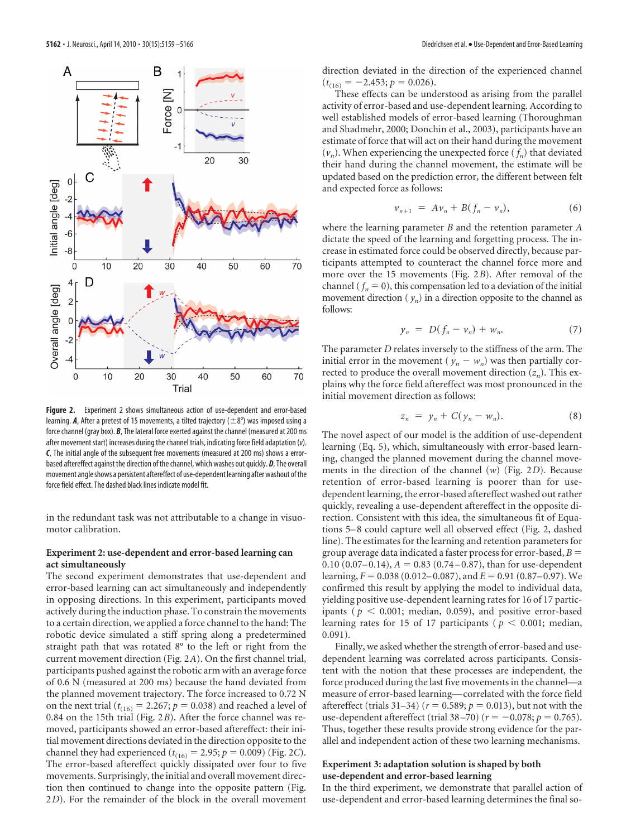

**Figure 2.** Experiment 2 shows simultaneous action of use-dependent and error-based learning. *A*, After a pretest of 15 movements, a tilted trajectory ( $\pm 8^{\circ}$ ) was imposed using a force channel (gray box). *B*, The lateral force exerted against the channel (measured at 200 ms after movement start) increases during the channel trials, indicating force field adaptation (*v*). *C*, The initial angle of the subsequent free movements (measured at 200 ms) shows a errorbased aftereffect against the direction of the channel, which washes out quickly. *D*, The overall movement angle shows a persistent aftereffect of use-dependent learning after washout of the force field effect. The dashed black lines indicate model fit.

in the redundant task was not attributable to a change in visuomotor calibration.

#### **Experiment 2: use-dependent and error-based learning can act simultaneously**

The second experiment demonstrates that use-dependent and error-based learning can act simultaneously and independently in opposing directions. In this experiment, participants moved actively during the induction phase. To constrain the movements to a certain direction, we applied a force channel to the hand: The robotic device simulated a stiff spring along a predetermined straight path that was rotated 8° to the left or right from the current movement direction (Fig. 2*A*). On the first channel trial, participants pushed against the robotic arm with an average force of 0.6 N (measured at 200 ms) because the hand deviated from the planned movement trajectory. The force increased to 0.72 N on the next trial ( $t_{(16)} = 2.267$ ;  $p = 0.038$ ) and reached a level of 0.84 on the 15th trial (Fig. 2*B*). After the force channel was removed, participants showed an error-based aftereffect: their initial movement directions deviated in the direction opposite to the channel they had experienced ( $t_{(16)} = 2.95$ ;  $p = 0.009$ ) (Fig. 2*C*). The error-based aftereffect quickly dissipated over four to five movements. Surprisingly, the initial and overall movement direction then continued to change into the opposite pattern (Fig. 2*D*). For the remainder of the block in the overall movement

direction deviated in the direction of the experienced channel  $(t<sub>(16)</sub> = -2.453; p = 0.026).$ 

These effects can be understood as arising from the parallel activity of error-based and use-dependent learning. According to well established models of error-based learning (Thoroughman and Shadmehr, 2000; Donchin et al., 2003), participants have an estimate of force that will act on their hand during the movement  $(v_n)$ . When experiencing the unexpected force  $(f_n)$  that deviated their hand during the channel movement, the estimate will be updated based on the prediction error, the different between felt and expected force as follows:

$$
\nu_{n+1} = A\nu_n + B(f_n - \nu_n), \tag{6}
$$

where the learning parameter *B* and the retention parameter *A* dictate the speed of the learning and forgetting process. The increase in estimated force could be observed directly, because participants attempted to counteract the channel force more and more over the 15 movements (Fig. 2*B*). After removal of the channel ( $f_n = 0$ ), this compensation led to a deviation of the initial movement direction  $(y_n)$  in a direction opposite to the channel as follows:

$$
y_n = D(f_n - v_n) + w_n. \tag{7}
$$

The parameter *D* relates inversely to the stiffness of the arm. The initial error in the movement ( $y_n - w_n$ ) was then partially corrected to produce the overall movement direction  $(z_n)$ . This explains why the force field aftereffect was most pronounced in the initial movement direction as follows:

$$
z_n = y_n + C(y_n - w_n). \tag{8}
$$

The novel aspect of our model is the addition of use-dependent learning (Eq. 5), which, simultaneously with error-based learning, changed the planned movement during the channel movements in the direction of the channel (*w*) (Fig. 2*D*). Because retention of error-based learning is poorer than for usedependent learning, the error-based aftereffect washed out rather quickly, revealing a use-dependent aftereffect in the opposite direction. Consistent with this idea, the simultaneous fit of Equations 5–8 could capture well all observed effect (Fig. 2, dashed line). The estimates for the learning and retention parameters for group average data indicated a faster process for error-based, *B* 0.10 (0.07–0.14),  $A = 0.83$  (0.74–0.87), than for use-dependent learning,  $F = 0.038$  (0.012–0.087), and  $E = 0.91$  (0.87–0.97). We confirmed this result by applying the model to individual data, yielding positive use-dependent learning rates for 16 of 17 participants ( $p < 0.001$ ; median, 0.059), and positive error-based learning rates for 15 of 17 participants ( $p < 0.001$ ; median,  $0.091$ ).

Finally, we asked whether the strength of error-based and usedependent learning was correlated across participants. Consistent with the notion that these processes are independent, the force produced during the last five movements in the channel—a measure of error-based learning— correlated with the force field aftereffect (trials 31–34) ( $r = 0.589$ ;  $p = 0.013$ ), but not with the use-dependent aftereffect (trial  $38 - 70$ ) ( $r = -0.078$ ;  $p = 0.765$ ). Thus, together these results provide strong evidence for the parallel and independent action of these two learning mechanisms.

### **Experiment 3: adaptation solution is shaped by both use-dependent and error-based learning**

In the third experiment, we demonstrate that parallel action of use-dependent and error-based learning determines the final so-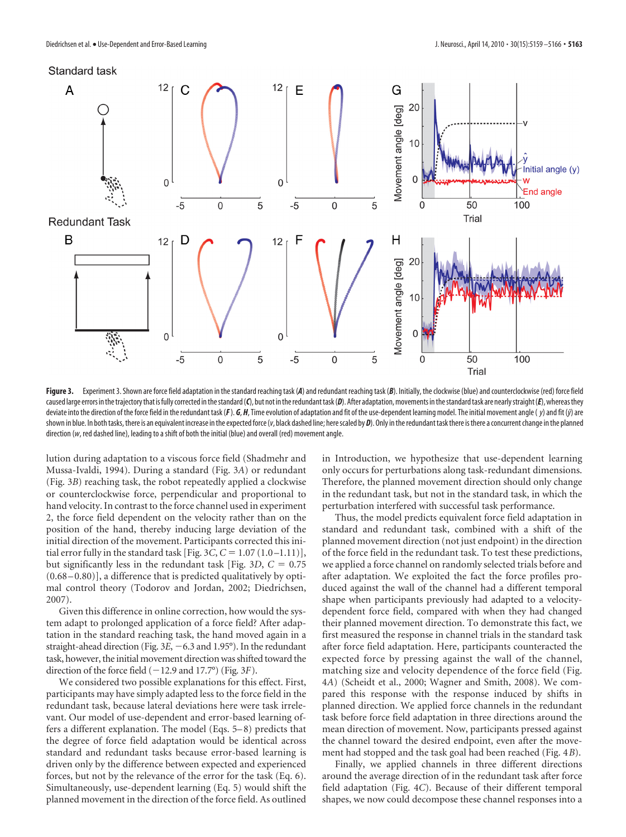

Figure 3. Experiment 3. Shown are force field adaptation in the standard reaching task (*A*) and redundant reaching task (*B*). Initially, the clockwise (blue) and counterclockwise (red) force field caused large errors in the trajectory that is fully corrected in the standard (*C*), but not in the redundant task (*D*). After adaptation, movements in the standard task are nearly straight (*E*), whereas they deviate into the direction of the force field in the redundant task (F). G, H, Time evolution of adaptation and fit of the use-dependent learning model. The initial movement angle (y) and fit (j) are shown in blue. In both tasks, there is an equivalent increase in the expected force (*v*, black dashed line; here scaled by *D*). Only in the redundant task there is there a concurrent change in the planned direction (*w*, red dashed line), leading to a shift of both the initial (blue) and overall (red) movement angle.

lution during adaptation to a viscous force field (Shadmehr and Mussa-Ivaldi, 1994). During a standard (Fig. 3*A*) or redundant (Fig. 3*B*) reaching task, the robot repeatedly applied a clockwise or counterclockwise force, perpendicular and proportional to hand velocity. In contrast to the force channel used in experiment 2, the force field dependent on the velocity rather than on the position of the hand, thereby inducing large deviation of the initial direction of the movement. Participants corrected this initial error fully in the standard task [Fig.  $3C$ ,  $C = 1.07 (1.0 - 1.11)$ ], but significantly less in the redundant task [Fig. 3*D*,  $C = 0.75$  $(0.68 - 0.80)$ ], a difference that is predicted qualitatively by optimal control theory (Todorov and Jordan, 2002; Diedrichsen, 2007).

Given this difference in online correction, how would the system adapt to prolonged application of a force field? After adaptation in the standard reaching task, the hand moved again in a straight-ahead direction (Fig.  $3E$ ,  $-6.3$  and 1.95°). In the redundant task, however, the initial movement direction was shifted toward the direction of the force field  $(-12.9 \text{ and } 17.7^{\circ})$  (Fig. 3*F*).

We considered two possible explanations for this effect. First, participants may have simply adapted less to the force field in the redundant task, because lateral deviations here were task irrelevant. Our model of use-dependent and error-based learning offers a different explanation. The model (Eqs. 5–8) predicts that the degree of force field adaptation would be identical across standard and redundant tasks because error-based learning is driven only by the difference between expected and experienced forces, but not by the relevance of the error for the task (Eq. 6). Simultaneously, use-dependent learning (Eq. 5) would shift the planned movement in the direction of the force field. As outlined

in Introduction, we hypothesize that use-dependent learning only occurs for perturbations along task-redundant dimensions. Therefore, the planned movement direction should only change in the redundant task, but not in the standard task, in which the perturbation interfered with successful task performance.

Thus, the model predicts equivalent force field adaptation in standard and redundant task, combined with a shift of the planned movement direction (not just endpoint) in the direction of the force field in the redundant task. To test these predictions, we applied a force channel on randomly selected trials before and after adaptation. We exploited the fact the force profiles produced against the wall of the channel had a different temporal shape when participants previously had adapted to a velocitydependent force field, compared with when they had changed their planned movement direction. To demonstrate this fact, we first measured the response in channel trials in the standard task after force field adaptation. Here, participants counteracted the expected force by pressing against the wall of the channel, matching size and velocity dependence of the force field (Fig. 4*A*) (Scheidt et al., 2000; Wagner and Smith, 2008). We compared this response with the response induced by shifts in planned direction. We applied force channels in the redundant task before force field adaptation in three directions around the mean direction of movement. Now, participants pressed against the channel toward the desired endpoint, even after the movement had stopped and the task goal had been reached (Fig. 4*B*).

Finally, we applied channels in three different directions around the average direction of in the redundant task after force field adaptation (Fig. 4*C*). Because of their different temporal shapes, we now could decompose these channel responses into a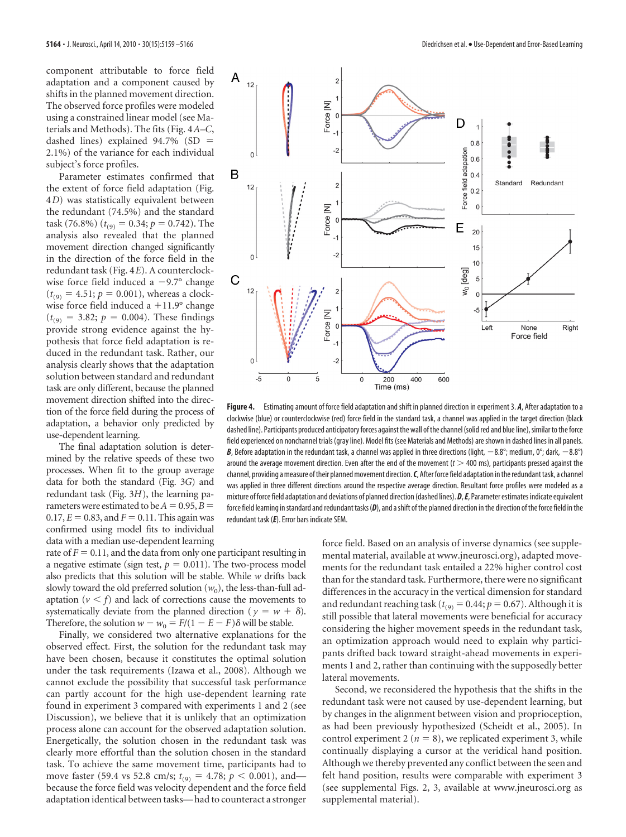component attributable to force field adaptation and a component caused by shifts in the planned movement direction. The observed force profiles were modeled using a constrained linear model (see Materials and Methods). The fits (Fig. 4*A–C*, dashed lines) explained  $94.7\%$  (SD = 2.1%) of the variance for each individual subject's force profiles.

Parameter estimates confirmed that the extent of force field adaptation (Fig. 4*D*) was statistically equivalent between the redundant (74.5%) and the standard task (76.8%) ( $t_{(9)} = 0.34; p = 0.742$ ). The analysis also revealed that the planned movement direction changed significantly in the direction of the force field in the redundant task (Fig. 4*E*). A counterclockwise force field induced a  $-9.7^{\circ}$  change  $(t_{(9)} = 4.51; p = 0.001)$ , whereas a clockwise force field induced a  $+11.9^{\circ}$  change  $(t_{(9)} = 3.82; p = 0.004)$ . These findings provide strong evidence against the hypothesis that force field adaptation is reduced in the redundant task. Rather, our analysis clearly shows that the adaptation solution between standard and redundant task are only different, because the planned movement direction shifted into the direction of the force field during the process of adaptation, a behavior only predicted by use-dependent learning.

The final adaptation solution is determined by the relative speeds of these two processes. When fit to the group average data for both the standard (Fig. 3*G*) and redundant task (Fig. 3*H*), the learning parameters were estimated to be  $A = 0.95, B =$  $0.17, E = 0.83,$  and  $F = 0.11$ . This again was confirmed using model fits to individual data with a median use-dependent learning

rate of  $F = 0.11$ , and the data from only one participant resulting in a negative estimate (sign test,  $p = 0.011$ ). The two-process model also predicts that this solution will be stable. While *w* drifts back slowly toward the old preferred solution  $(w_0)$ , the less-than-full adaptation  $(v < f)$  and lack of corrections cause the movements to systematically deviate from the planned direction ( $y = w + \delta$ ). Therefore, the solution  $w - w_0 = F/(1 - E - F)\delta$  will be stable.

Finally, we considered two alternative explanations for the observed effect. First, the solution for the redundant task may have been chosen, because it constitutes the optimal solution under the task requirements (Izawa et al., 2008). Although we cannot exclude the possibility that successful task performance can partly account for the high use-dependent learning rate found in experiment 3 compared with experiments 1 and 2 (see Discussion), we believe that it is unlikely that an optimization process alone can account for the observed adaptation solution. Energetically, the solution chosen in the redundant task was clearly more effortful than the solution chosen in the standard task. To achieve the same movement time, participants had to move faster (59.4 vs 52.8 cm/s;  $t_{(9)} = 4.78$ ;  $p < 0.001$ ), and because the force field was velocity dependent and the force field adaptation identical between tasks— had to counteract a stronger



**Figure 4.** Estimating amount of force field adaptation and shift in planned direction in experiment 3. *A*, After adaptation to a clockwise (blue) or counterclockwise (red) force field in the standard task, a channel was applied in the target direction (black dashed line). Participants produced anticipatory forces against the wall of the channel (solid red and blue line), similar to the force field experienced on nonchannel trials (gray line). Model fits (see Materials and Methods) are shown in dashed lines in all panels. **B**, Before adaptation in the redundant task, a channel was applied in three directions (light,  $-8.8^\circ$ ; medium,  $0^\circ$ ; dark,  $-8.8^\circ$ ) around the average movement direction. Even after the end of the movement  $(t > 400 \text{ ms})$ , participants pressed against the channel, providing a measure of their planned movement direction. *C*, After force field adaptation in the redundant task, a channel was applied in three different directions around the respective average direction. Resultant force profiles were modeled as a mixture of force field adaptation and deviations of planned direction (dashed lines). *D*,*E*, Parameter estimates indicate equivalent force field learning in standard and redundant tasks (D), and a shift of the planned direction in the direction of the force field in the redundant task (*E*). Error bars indicate SEM.

force field. Based on an analysis of inverse dynamics (see supplemental material, available at www.jneurosci.org), adapted movements for the redundant task entailed a 22% higher control cost than for the standard task. Furthermore, there were no significant differences in the accuracy in the vertical dimension for standard and redundant reaching task ( $t_{(9)} = 0.44$ ;  $p = 0.67$ ). Although it is still possible that lateral movements were beneficial for accuracy considering the higher movement speeds in the redundant task, an optimization approach would need to explain why participants drifted back toward straight-ahead movements in experiments 1 and 2, rather than continuing with the supposedly better lateral movements.

Second, we reconsidered the hypothesis that the shifts in the redundant task were not caused by use-dependent learning, but by changes in the alignment between vision and proprioception, as had been previously hypothesized (Scheidt et al., 2005). In control experiment 2 ( $n = 8$ ), we replicated experiment 3, while continually displaying a cursor at the veridical hand position. Although we thereby prevented any conflict between the seen and felt hand position, results were comparable with experiment 3 (see supplemental Figs. 2, 3, available at www.jneurosci.org as supplemental material).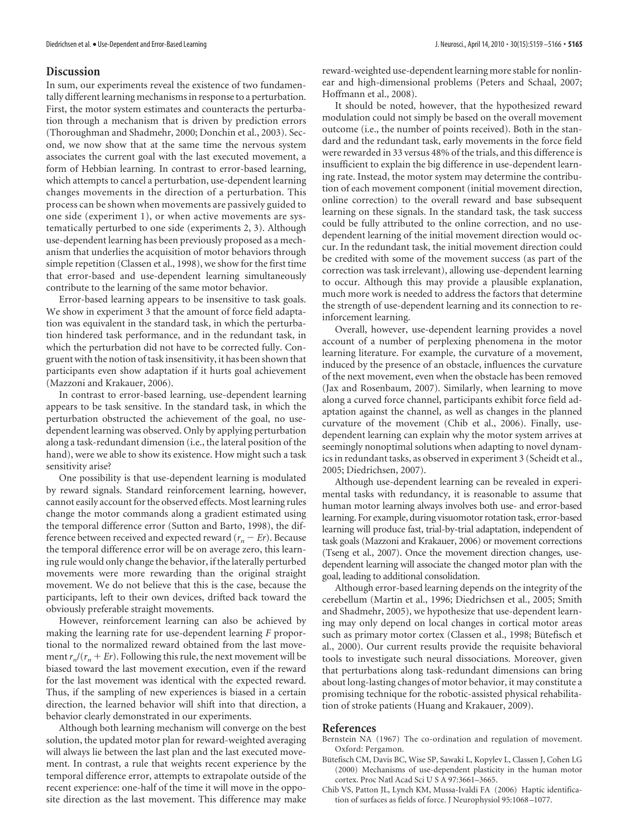#### **Discussion**

In sum, our experiments reveal the existence of two fundamentally different learning mechanisms in response to a perturbation. First, the motor system estimates and counteracts the perturbation through a mechanism that is driven by prediction errors (Thoroughman and Shadmehr, 2000; Donchin et al., 2003). Second, we now show that at the same time the nervous system associates the current goal with the last executed movement, a form of Hebbian learning. In contrast to error-based learning, which attempts to cancel a perturbation, use-dependent learning changes movements in the direction of a perturbation. This process can be shown when movements are passively guided to one side (experiment 1), or when active movements are systematically perturbed to one side (experiments 2, 3). Although use-dependent learning has been previously proposed as a mechanism that underlies the acquisition of motor behaviors through simple repetition (Classen et al., 1998), we show for the first time that error-based and use-dependent learning simultaneously contribute to the learning of the same motor behavior.

Error-based learning appears to be insensitive to task goals. We show in experiment 3 that the amount of force field adaptation was equivalent in the standard task, in which the perturbation hindered task performance, and in the redundant task, in which the perturbation did not have to be corrected fully. Congruent with the notion of task insensitivity, it has been shown that participants even show adaptation if it hurts goal achievement (Mazzoni and Krakauer, 2006).

In contrast to error-based learning, use-dependent learning appears to be task sensitive. In the standard task, in which the perturbation obstructed the achievement of the goal, no usedependent learning was observed. Only by applying perturbation along a task-redundant dimension (i.e., the lateral position of the hand), were we able to show its existence. How might such a task sensitivity arise?

One possibility is that use-dependent learning is modulated by reward signals. Standard reinforcement learning, however, cannot easily account for the observed effects. Most learning rules change the motor commands along a gradient estimated using the temporal difference error (Sutton and Barto, 1998), the difference between received and expected reward  $(r_n - Er)$ . Because the temporal difference error will be on average zero, this learning rule would only change the behavior, if the laterally perturbed movements were more rewarding than the original straight movement. We do not believe that this is the case, because the participants, left to their own devices, drifted back toward the obviously preferable straight movements.

However, reinforcement learning can also be achieved by making the learning rate for use-dependent learning *F* proportional to the normalized reward obtained from the last movement  $r_n/(r_n + Er)$ . Following this rule, the next movement will be biased toward the last movement execution, even if the reward for the last movement was identical with the expected reward. Thus, if the sampling of new experiences is biased in a certain direction, the learned behavior will shift into that direction, a behavior clearly demonstrated in our experiments.

Although both learning mechanism will converge on the best solution, the updated motor plan for reward-weighted averaging will always lie between the last plan and the last executed movement. In contrast, a rule that weights recent experience by the temporal difference error, attempts to extrapolate outside of the recent experience: one-half of the time it will move in the opposite direction as the last movement. This difference may make

reward-weighted use-dependent learning more stable for nonlinear and high-dimensional problems (Peters and Schaal, 2007; Hoffmann et al., 2008).

It should be noted, however, that the hypothesized reward modulation could not simply be based on the overall movement outcome (i.e., the number of points received). Both in the standard and the redundant task, early movements in the force field were rewarded in 33 versus 48% of the trials, and this difference is insufficient to explain the big difference in use-dependent learning rate. Instead, the motor system may determine the contribution of each movement component (initial movement direction, online correction) to the overall reward and base subsequent learning on these signals. In the standard task, the task success could be fully attributed to the online correction, and no usedependent learning of the initial movement direction would occur. In the redundant task, the initial movement direction could be credited with some of the movement success (as part of the correction was task irrelevant), allowing use-dependent learning to occur. Although this may provide a plausible explanation, much more work is needed to address the factors that determine the strength of use-dependent learning and its connection to reinforcement learning.

Overall, however, use-dependent learning provides a novel account of a number of perplexing phenomena in the motor learning literature. For example, the curvature of a movement, induced by the presence of an obstacle, influences the curvature of the next movement, even when the obstacle has been removed (Jax and Rosenbaum, 2007). Similarly, when learning to move along a curved force channel, participants exhibit force field adaptation against the channel, as well as changes in the planned curvature of the movement (Chib et al., 2006). Finally, usedependent learning can explain why the motor system arrives at seemingly nonoptimal solutions when adapting to novel dynamics in redundant tasks, as observed in experiment 3 (Scheidt et al., 2005; Diedrichsen, 2007).

Although use-dependent learning can be revealed in experimental tasks with redundancy, it is reasonable to assume that human motor learning always involves both use- and error-based learning. For example, during visuomotor rotation task, error-based learning will produce fast, trial-by-trial adaptation, independent of task goals (Mazzoni and Krakauer, 2006) or movement corrections (Tseng et al., 2007). Once the movement direction changes, usedependent learning will associate the changed motor plan with the goal, leading to additional consolidation.

Although error-based learning depends on the integrity of the cerebellum (Martin et al., 1996; Diedrichsen et al., 2005; Smith and Shadmehr, 2005), we hypothesize that use-dependent learning may only depend on local changes in cortical motor areas such as primary motor cortex (Classen et al., 1998; Bütefisch et al., 2000). Our current results provide the requisite behavioral tools to investigate such neural dissociations. Moreover, given that perturbations along task-redundant dimensions can bring about long-lasting changes of motor behavior, it may constitute a promising technique for the robotic-assisted physical rehabilitation of stroke patients (Huang and Krakauer, 2009).

#### **References**

- Bernstein NA (1967) The co-ordination and regulation of movement. Oxford: Pergamon.
- Bütefisch CM, Davis BC, Wise SP, Sawaki L, Kopylev L, Classen J, Cohen LG (2000) Mechanisms of use-dependent plasticity in the human motor cortex. Proc Natl Acad Sci U S A 97:3661–3665.
- Chib VS, Patton JL, Lynch KM, Mussa-Ivaldi FA (2006) Haptic identification of surfaces as fields of force. J Neurophysiol 95:1068 –1077.